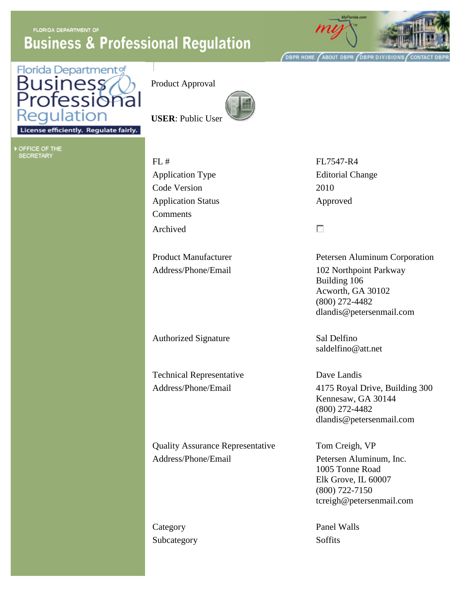**FLORIDA DEPARTMENT OF Business & Professional Regulation** 



**OBPR HOME ABOUT DBPR OBPR DIVISIONS CONTACT** 



Product Approval



**USER**: Public User

License efficiently. Regulate fairly.

| OFFICE OF THE    |  |  |  |
|------------------|--|--|--|
| <b>SECRETARY</b> |  |  |  |

FL # FL7547-R4 Application Type Editorial Change Code Version 2010 Application Status Approved **Comments** Archived

Authorized Signature Sal Delfino

Technical Representative Dave Landis

Quality Assurance Representative Tom Creigh, VP Address/Phone/Email Petersen Aluminum, Inc.

Subcategory Soffits

 $\overline{\mathcal{C}}$ 

Product Manufacturer Petersen Aluminum Corporation Address/Phone/Email 102 Northpoint Parkway Building 106 Acworth, GA 30102 (800) 272-4482 dlandis@petersenmail.com

saldelfino@att.net

Address/Phone/Email 4175 Royal Drive, Building 300 Kennesaw, GA 30144 (800) 272-4482 dlandis@petersenmail.com

> 1005 Tonne Road Elk Grove, IL 60007 (800) 722-7150 tcreigh@petersenmail.com

Category Panel Walls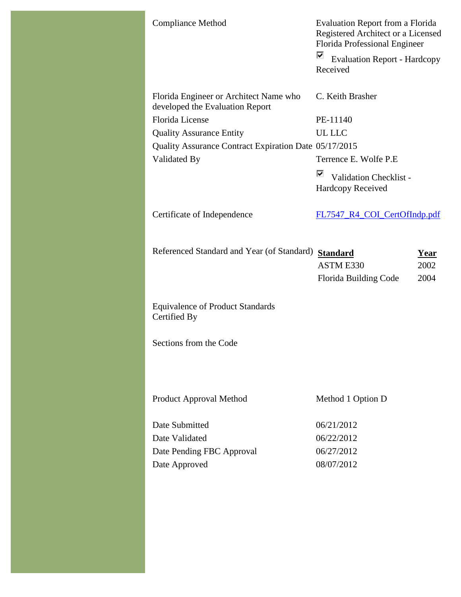| <b>Compliance Method</b>                                                  | <b>Evaluation Report from a Florida</b><br>Registered Architect or a Licensed<br>Florida Professional Engineer<br>⊽<br><b>Evaluation Report - Hardcopy</b><br>Received |
|---------------------------------------------------------------------------|------------------------------------------------------------------------------------------------------------------------------------------------------------------------|
| Florida Engineer or Architect Name who<br>developed the Evaluation Report | C. Keith Brasher                                                                                                                                                       |
| Florida License                                                           | PE-11140                                                                                                                                                               |
| <b>Quality Assurance Entity</b>                                           | <b>UL LLC</b>                                                                                                                                                          |
| Quality Assurance Contract Expiration Date 05/17/2015                     |                                                                                                                                                                        |
| Validated By                                                              | Terrence E. Wolfe P.E                                                                                                                                                  |
|                                                                           | ⊽<br>Validation Checklist -<br><b>Hardcopy Received</b>                                                                                                                |
| Certificate of Independence                                               | FL7547_R4_COI_CertOfIndp.pdf                                                                                                                                           |
| Referenced Standard and Year (of Standard)                                | <b>Standard</b><br>Year<br>ASTM E330<br>2002<br>2004<br>Florida Building Code                                                                                          |
| <b>Equivalence of Product Standards</b><br>Certified By                   |                                                                                                                                                                        |
| Sections from the Code                                                    |                                                                                                                                                                        |
| Product Approval Method                                                   | Method 1 Option D                                                                                                                                                      |
| Date Submitted                                                            | 06/21/2012                                                                                                                                                             |
| Date Validated                                                            | 06/22/2012                                                                                                                                                             |
| Date Pending FBC Approval                                                 | 06/27/2012                                                                                                                                                             |
| Date Approved                                                             | 08/07/2012                                                                                                                                                             |
|                                                                           |                                                                                                                                                                        |